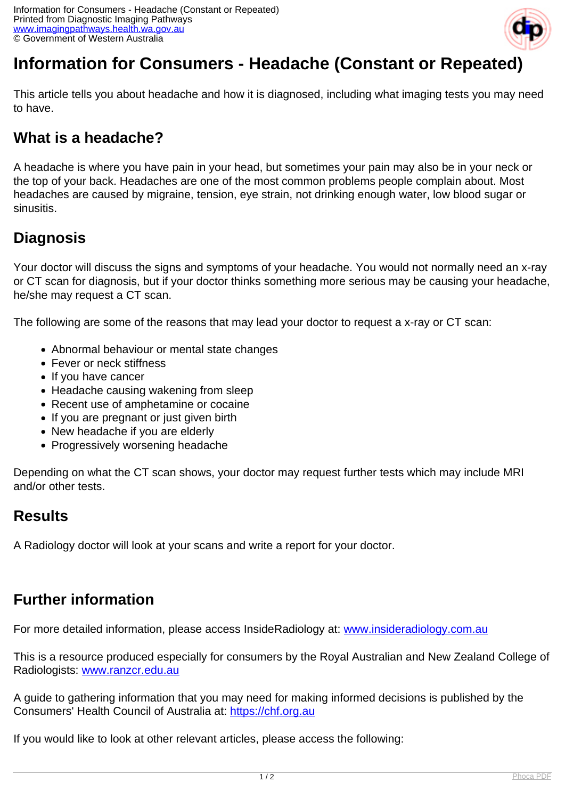

# **Information for Consumers - Headache (Constant or Repeated)**

This article tells you about headache and how it is diagnosed, including what imaging tests you may need to have.

# **What is a headache?**

A headache is where you have pain in your head, but sometimes your pain may also be in your neck or the top of your back. Headaches are one of the most common problems people complain about. Most headaches are caused by migraine, tension, eye strain, not drinking enough water, low blood sugar or sinusitis.

# **Diagnosis**

Your doctor will discuss the signs and symptoms of your headache. You would not normally need an x-ray or CT scan for diagnosis, but if your doctor thinks something more serious may be causing your headache, he/she may request a CT scan.

The following are some of the reasons that may lead your doctor to request a x-ray or CT scan:

- Abnormal behaviour or mental state changes
- Fever or neck stiffness
- If you have cancer
- Headache causing wakening from sleep
- Recent use of amphetamine or cocaine
- If you are pregnant or just given birth
- New headache if you are elderly
- Progressively worsening headache

Depending on what the CT scan shows, your doctor may request further tests which may include MRI and/or other tests.

### **Results**

A Radiology doctor will look at your scans and write a report for your doctor.

## **Further information**

For more detailed information, please access InsideRadiology at: [www.insideradiology.com.au](http://www.insideradiology.com.au/)

This is a resource produced especially for consumers by the Royal Australian and New Zealand College of Radiologists: [www.ranzcr.edu.au](http://www.ranzcr.edu.au/)

A guide to gathering information that you may need for making informed decisions is published by the Consumers' Health Council of Australia at: <https://chf.org.au>

If you would like to look at other relevant articles, please access the following: